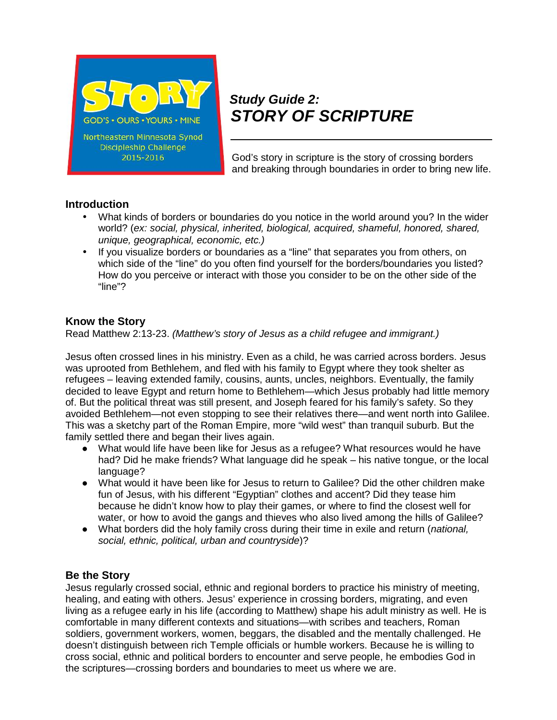

# *Study Guide 2: STORY OF SCRIPTURE*

God's story in scripture is the story of crossing borders and breaking through boundaries in order to bring new life.

### **Introduction**

- What kinds of borders or boundaries do you notice in the world around you? In the wider world? (*ex: social, physical, inherited, biological, acquired, shameful, honored, shared, unique, geographical, economic, etc.)*
- If you visualize borders or boundaries as a "line" that separates you from others, on which side of the "line" do you often find yourself for the borders/boundaries you listed? How do you perceive or interact with those you consider to be on the other side of the "line"?

#### **Know the Story**

Read Matthew 2:13-23. *(Matthew's story of Jesus as a child refugee and immigrant.)*

Jesus often crossed lines in his ministry. Even as a child, he was carried across borders. Jesus was uprooted from Bethlehem, and fled with his family to Egypt where they took shelter as refugees – leaving extended family, cousins, aunts, uncles, neighbors. Eventually, the family decided to leave Egypt and return home to Bethlehem—which Jesus probably had little memory of. But the political threat was still present, and Joseph feared for his family's safety. So they avoided Bethlehem—not even stopping to see their relatives there—and went north into Galilee. This was a sketchy part of the Roman Empire, more "wild west" than tranquil suburb. But the family settled there and began their lives again.

What would life have been like for Jesus as a refugee? What resources would he have had? Did he make friends? What language did he speak – his native tongue, or the local language?

What would it have been like for Jesus to return to Galilee? Did the other children make fun of Jesus, with his different "Egyptian" clothes and accent? Did they tease him because he didn't know how to play their games, or where to find the closest well for water, or how to avoid the gangs and thieves who also lived among the hills of Galilee? What borders did the holy family cross during their time in exile and return (*national, social, ethnic, political, urban and countryside*)?

#### **Be the Story**

Jesus regularly crossed social, ethnic and regional borders to practice his ministry of meeting, healing, and eating with others. Jesus' experience in crossing borders, migrating, and even living as a refugee early in his life (according to Matthew) shape his adult ministry as well. He is comfortable in many different contexts and situations—with scribes and teachers, Roman soldiers, government workers, women, beggars, the disabled and the mentally challenged. He doesn't distinguish between rich Temple officials or humble workers. Because he is willing to cross social, ethnic and political borders to encounter and serve people, he embodies God in the scriptures—crossing borders and boundaries to meet us where we are.